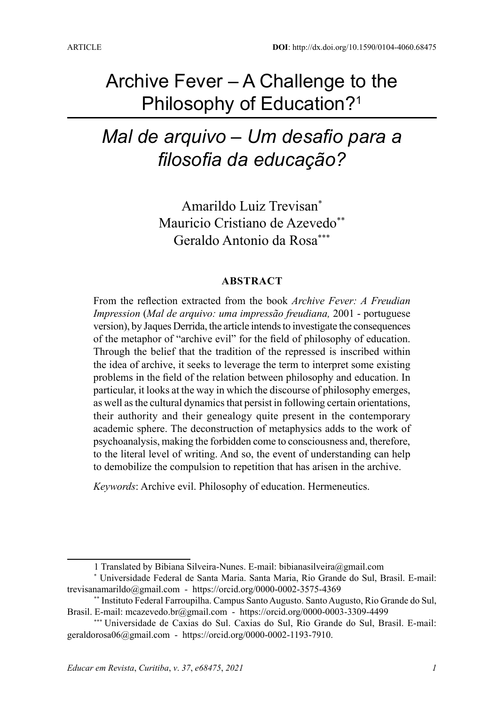# Archive Fever – A Challenge to the Philosophy of Education?1

# *Mal de arquivo – Um desafio para a filosofia da educação?*

Amarildo Luiz Trevisan\* Mauricio Cristiano de Azevedo<sup>\*\*</sup> Geraldo Antonio da Rosa\*\*\*

#### **ABSTRACT**

From the reflection extracted from the book *Archive Fever: A Freudian Impression* (*Mal de arquivo: uma impressão freudiana,* 2001 - portuguese version), by Jaques Derrida, the article intends to investigate the consequences of the metaphor of "archive evil" for the field of philosophy of education. Through the belief that the tradition of the repressed is inscribed within the idea of archive, it seeks to leverage the term to interpret some existing problems in the field of the relation between philosophy and education. In particular, it looks at the way in which the discourse of philosophy emerges, as well as the cultural dynamics that persist in following certain orientations, their authority and their genealogy quite present in the contemporary academic sphere. The deconstruction of metaphysics adds to the work of psychoanalysis, making the forbidden come to consciousness and, therefore, to the literal level of writing. And so, the event of understanding can help to demobilize the compulsion to repetition that has arisen in the archive.

*Keywords*: Archive evil. Philosophy of education. Hermeneutics.

<sup>1</sup> Translated by Bibiana Silveira-Nunes. E-mail: bibianasilveira@gmail.com

<sup>\*</sup> Universidade Federal de Santa Maria. Santa Maria, Rio Grande do Sul, Brasil. E-mail: trevisanamarildo@gmail.com - https://orcid.org/0000-0002-3575-4369

<sup>\*\*</sup> Instituto Federal Farroupilha. Campus Santo Augusto. Santo Augusto, Rio Grande do Sul, Brasil. E-mail: mcazevedo.br@gmail.com - https://orcid.org/0000-0003-3309-4499

<sup>\*\*\*</sup> Universidade de Caxias do Sul. Caxias do Sul, Rio Grande do Sul, Brasil. E-mail: geraldorosa06@gmail.com - https://orcid.org/0000-0002-1193-7910.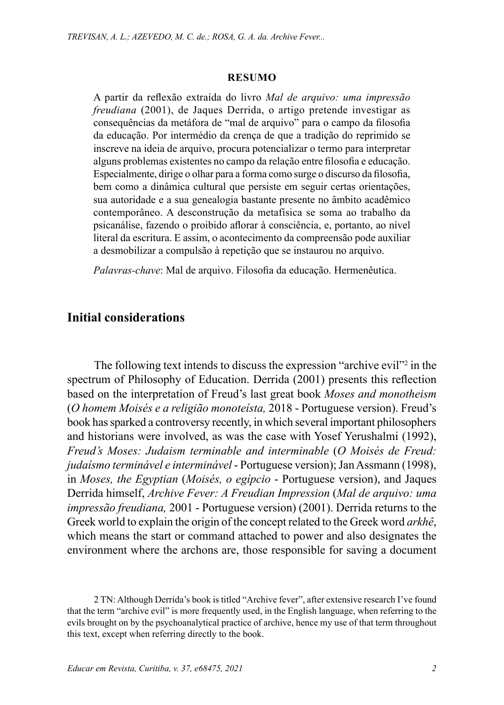#### **RESUMO**

A partir da reflexão extraída do livro *Mal de arquivo: uma impressão freudiana* (2001), de Jaques Derrida, o artigo pretende investigar as consequências da metáfora de "mal de arquivo" para o campo da filosofia da educação. Por intermédio da crença de que a tradição do reprimido se inscreve na ideia de arquivo, procura potencializar o termo para interpretar alguns problemas existentes no campo da relação entre filosofia e educação. Especialmente, dirige o olhar para a forma como surge o discurso da filosofia, bem como a dinâmica cultural que persiste em seguir certas orientações, sua autoridade e a sua genealogia bastante presente no âmbito acadêmico contemporâneo. A desconstrução da metafísica se soma ao trabalho da psicanálise, fazendo o proibido aflorar à consciência, e, portanto, ao nível literal da escritura. E assim, o acontecimento da compreensão pode auxiliar a desmobilizar a compulsão à repetição que se instaurou no arquivo.

*Palavras-chave*: Mal de arquivo. Filosofia da educação. Hermenêutica.

### **Initial considerations**

The following text intends to discuss the expression "archive evil"<sup>2</sup> in the spectrum of Philosophy of Education. Derrida (2001) presents this reflection based on the interpretation of Freud's last great book *Moses and monotheism*  (*O homem Moisés e a religião monoteísta,* 2018 - Portuguese version). Freud's book has sparked a controversy recently, in which several important philosophers and historians were involved, as was the case with Yosef Yerushalmi (1992), *Freud's Moses: Judaism terminable and interminable* (*O Moisés de Freud: judaísmo terminável e interminável* - Portuguese version); Jan Assmann (1998), in *Moses, the Egyptian* (*Moisés, o egípcio* - Portuguese version), and Jaques Derrida himself, *Archive Fever: A Freudian Impression* (*Mal de arquivo: uma impressão freudiana,* 2001 - Portuguese version) (2001). Derrida returns to the Greek world to explain the origin of the concept related to the Greek word *arkhê*, which means the start or command attached to power and also designates the environment where the archons are, those responsible for saving a document

2 TN: Although Derrida's book is titled "Archive fever", after extensive research I've found that the term "archive evil" is more frequently used, in the English language, when referring to the evils brought on by the psychoanalytical practice of archive, hence my use of that term throughout this text, except when referring directly to the book.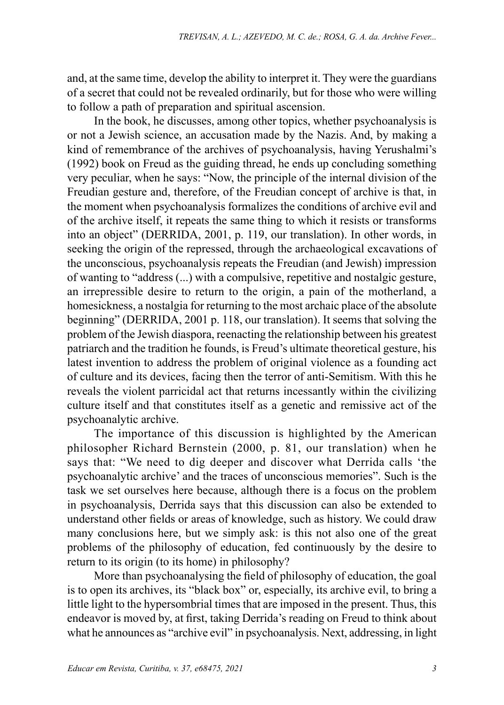and, at the same time, develop the ability to interpret it. They were the guardians of a secret that could not be revealed ordinarily, but for those who were willing to follow a path of preparation and spiritual ascension.

In the book, he discusses, among other topics, whether psychoanalysis is or not a Jewish science, an accusation made by the Nazis. And, by making a kind of remembrance of the archives of psychoanalysis, having Yerushalmi's (1992) book on Freud as the guiding thread, he ends up concluding something very peculiar, when he says: "Now, the principle of the internal division of the Freudian gesture and, therefore, of the Freudian concept of archive is that, in the moment when psychoanalysis formalizes the conditions of archive evil and of the archive itself, it repeats the same thing to which it resists or transforms into an object" (DERRIDA, 2001, p. 119, our translation). In other words, in seeking the origin of the repressed, through the archaeological excavations of the unconscious, psychoanalysis repeats the Freudian (and Jewish) impression of wanting to "address (...) with a compulsive, repetitive and nostalgic gesture, an irrepressible desire to return to the origin, a pain of the motherland, a homesickness, a nostalgia for returning to the most archaic place of the absolute beginning" (DERRIDA, 2001 p. 118, our translation). It seems that solving the problem of the Jewish diaspora, reenacting the relationship between his greatest patriarch and the tradition he founds, is Freud's ultimate theoretical gesture, his latest invention to address the problem of original violence as a founding act of culture and its devices, facing then the terror of anti-Semitism. With this he reveals the violent parricidal act that returns incessantly within the civilizing culture itself and that constitutes itself as a genetic and remissive act of the psychoanalytic archive.

The importance of this discussion is highlighted by the American philosopher Richard Bernstein (2000, p. 81, our translation) when he says that: "We need to dig deeper and discover what Derrida calls 'the psychoanalytic archive' and the traces of unconscious memories". Such is the task we set ourselves here because, although there is a focus on the problem in psychoanalysis, Derrida says that this discussion can also be extended to understand other fields or areas of knowledge, such as history. We could draw many conclusions here, but we simply ask: is this not also one of the great problems of the philosophy of education, fed continuously by the desire to return to its origin (to its home) in philosophy?

More than psychoanalysing the field of philosophy of education, the goal is to open its archives, its "black box" or, especially, its archive evil, to bring a little light to the hypersombrial times that are imposed in the present. Thus, this endeavor is moved by, at first, taking Derrida's reading on Freud to think about what he announces as "archive evil" in psychoanalysis. Next, addressing, in light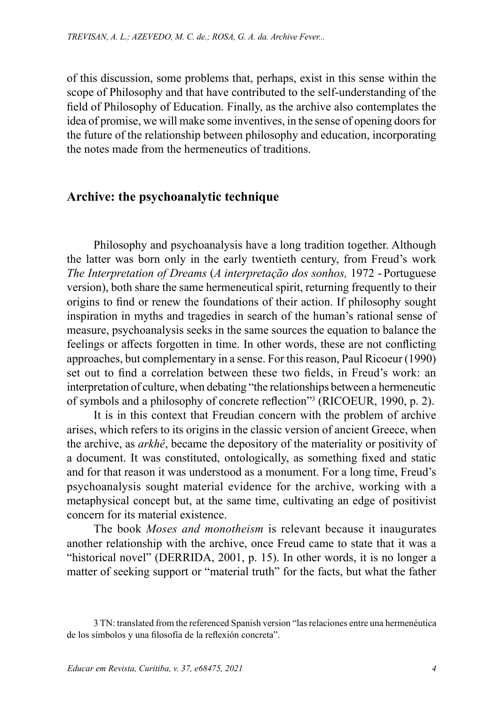of this discussion, some problems that, perhaps, exist in this sense within the scope of Philosophy and that have contributed to the self-understanding of the field of Philosophy of Education. Finally, as the archive also contemplates the idea of promise, we will make some inventives, in the sense of opening doors for the future of the relationship between philosophy and education, incorporating the notes made from the hermeneutics of traditions.

### **Archive: the psychoanalytic technique**

Philosophy and psychoanalysis have a long tradition together. Although the latter was born only in the early twentieth century, from Freud's work *The Interpretation of Dreams* (*A interpretação dos sonhos,* 1972 - Portuguese version), both share the same hermeneutical spirit, returning frequently to their origins to find or renew the foundations of their action. If philosophy sought inspiration in myths and tragedies in search of the human's rational sense of measure, psychoanalysis seeks in the same sources the equation to balance the feelings or affects forgotten in time. In other words, these are not conflicting approaches, but complementary in a sense. For this reason, Paul Ricoeur (1990) set out to find a correlation between these two fields, in Freud's work: an interpretation of culture, when debating "the relationships between a hermeneutic of symbols and a philosophy of concrete reflection"3 (RICOEUR, 1990, p. 2).

It is in this context that Freudian concern with the problem of archive arises, which refers to its origins in the classic version of ancient Greece, when the archive, as *arkhê*, became the depository of the materiality or positivity of a document. It was constituted, ontologically, as something fixed and static and for that reason it was understood as a monument. For a long time, Freud's psychoanalysis sought material evidence for the archive, working with a metaphysical concept but, at the same time, cultivating an edge of positivist concern for its material existence.

The book *Moses and monotheism* is relevant because it inaugurates another relationship with the archive, once Freud came to state that it was a "historical novel" (DERRIDA, 2001, p. 15). In other words, it is no longer a matter of seeking support or "material truth" for the facts, but what the father

<sup>3</sup> TN: translated from the referenced Spanish version "las relaciones entre una hermenéutica de los símbolos y una filosofía de la reflexión concreta".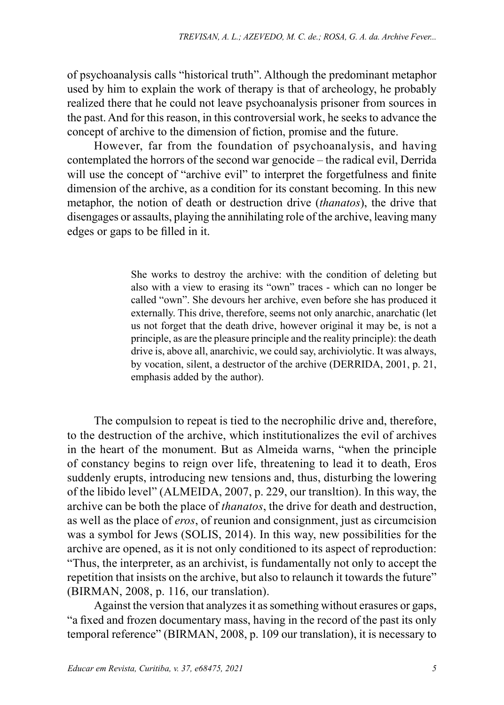of psychoanalysis calls "historical truth". Although the predominant metaphor used by him to explain the work of therapy is that of archeology, he probably realized there that he could not leave psychoanalysis prisoner from sources in the past. And for this reason, in this controversial work, he seeks to advance the concept of archive to the dimension of fiction, promise and the future.

However, far from the foundation of psychoanalysis, and having contemplated the horrors of the second war genocide – the radical evil, Derrida will use the concept of "archive evil" to interpret the forgetfulness and finite dimension of the archive, as a condition for its constant becoming. In this new metaphor, the notion of death or destruction drive (*thanatos*), the drive that disengages or assaults, playing the annihilating role of the archive, leaving many edges or gaps to be filled in it.

> She works to destroy the archive: with the condition of deleting but also with a view to erasing its "own" traces - which can no longer be called "own". She devours her archive, even before she has produced it externally. This drive, therefore, seems not only anarchic, anarchatic (let us not forget that the death drive, however original it may be, is not a principle, as are the pleasure principle and the reality principle): the death drive is, above all, anarchivic, we could say, archiviolytic. It was always, by vocation, silent, a destructor of the archive (DERRIDA, 2001, p. 21, emphasis added by the author).

The compulsion to repeat is tied to the necrophilic drive and, therefore, to the destruction of the archive, which institutionalizes the evil of archives in the heart of the monument. But as Almeida warns, "when the principle of constancy begins to reign over life, threatening to lead it to death, Eros suddenly erupts, introducing new tensions and, thus, disturbing the lowering of the libido level" (ALMEIDA, 2007, p. 229, our transltion). In this way, the archive can be both the place of *thanatos*, the drive for death and destruction, as well as the place of *eros*, of reunion and consignment, just as circumcision was a symbol for Jews (SOLIS, 2014). In this way, new possibilities for the archive are opened, as it is not only conditioned to its aspect of reproduction: "Thus, the interpreter, as an archivist, is fundamentally not only to accept the repetition that insists on the archive, but also to relaunch it towards the future" (BIRMAN, 2008, p. 116, our translation).

Against the version that analyzes it as something without erasures or gaps, "a fixed and frozen documentary mass, having in the record of the past its only temporal reference" (BIRMAN, 2008, p. 109 our translation), it is necessary to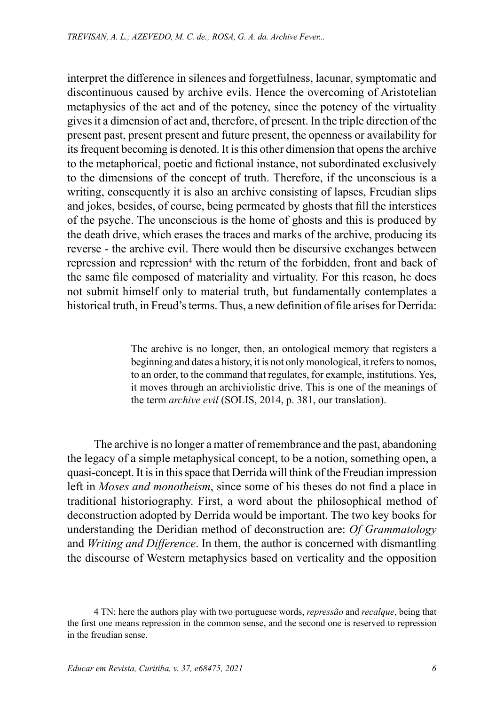interpret the difference in silences and forgetfulness, lacunar, symptomatic and discontinuous caused by archive evils. Hence the overcoming of Aristotelian metaphysics of the act and of the potency, since the potency of the virtuality gives it a dimension of act and, therefore, of present. In the triple direction of the present past, present present and future present, the openness or availability for its frequent becoming is denoted. It is this other dimension that opens the archive to the metaphorical, poetic and fictional instance, not subordinated exclusively to the dimensions of the concept of truth. Therefore, if the unconscious is a writing, consequently it is also an archive consisting of lapses, Freudian slips and jokes, besides, of course, being permeated by ghosts that fill the interstices of the psyche. The unconscious is the home of ghosts and this is produced by the death drive, which erases the traces and marks of the archive, producing its reverse - the archive evil. There would then be discursive exchanges between repression and repression<sup>4</sup> with the return of the forbidden, front and back of the same file composed of materiality and virtuality. For this reason, he does not submit himself only to material truth, but fundamentally contemplates a historical truth, in Freud's terms. Thus, a new definition of file arises for Derrida:

> The archive is no longer, then, an ontological memory that registers a beginning and dates a history, it is not only monological, it refers to nomos, to an order, to the command that regulates, for example, institutions. Yes, it moves through an archiviolistic drive. This is one of the meanings of the term *archive evil* (SOLIS, 2014, p. 381, our translation).

The archive is no longer a matter of remembrance and the past, abandoning the legacy of a simple metaphysical concept, to be a notion, something open, a quasi-concept. It is in this space that Derrida will think of the Freudian impression left in *Moses and monotheism*, since some of his theses do not find a place in traditional historiography. First, a word about the philosophical method of deconstruction adopted by Derrida would be important. The two key books for understanding the Deridian method of deconstruction are: *Of Grammatology*  and *Writing and Difference*. In them, the author is concerned with dismantling the discourse of Western metaphysics based on verticality and the opposition

<sup>4</sup> TN: here the authors play with two portuguese words, *repressão* and *recalque*, being that the first one means repression in the common sense, and the second one is reserved to repression in the freudian sense.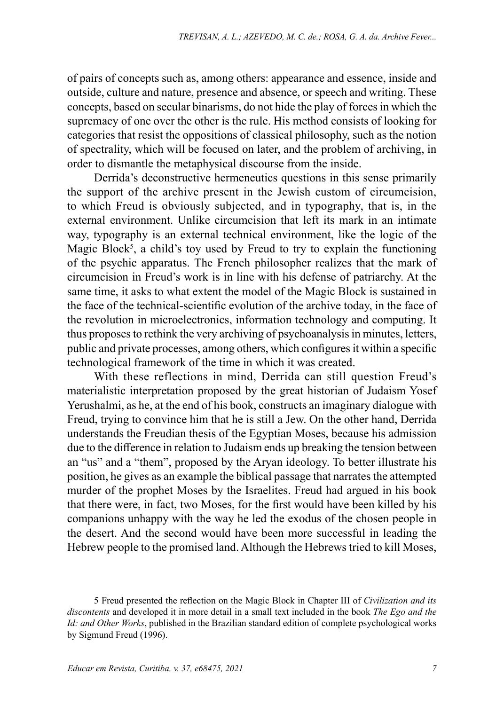of pairs of concepts such as, among others: appearance and essence, inside and outside, culture and nature, presence and absence, or speech and writing. These concepts, based on secular binarisms, do not hide the play of forces in which the supremacy of one over the other is the rule. His method consists of looking for categories that resist the oppositions of classical philosophy, such as the notion of spectrality, which will be focused on later, and the problem of archiving, in order to dismantle the metaphysical discourse from the inside.

Derrida's deconstructive hermeneutics questions in this sense primarily the support of the archive present in the Jewish custom of circumcision, to which Freud is obviously subjected, and in typography, that is, in the external environment. Unlike circumcision that left its mark in an intimate way, typography is an external technical environment, like the logic of the Magic Block<sup>5</sup>, a child's toy used by Freud to try to explain the functioning of the psychic apparatus. The French philosopher realizes that the mark of circumcision in Freud's work is in line with his defense of patriarchy. At the same time, it asks to what extent the model of the Magic Block is sustained in the face of the technical-scientific evolution of the archive today, in the face of the revolution in microelectronics, information technology and computing. It thus proposes to rethink the very archiving of psychoanalysis in minutes, letters, public and private processes, among others, which configures it within a specific technological framework of the time in which it was created.

With these reflections in mind, Derrida can still question Freud's materialistic interpretation proposed by the great historian of Judaism Yosef Yerushalmi, as he, at the end of his book, constructs an imaginary dialogue with Freud, trying to convince him that he is still a Jew. On the other hand, Derrida understands the Freudian thesis of the Egyptian Moses, because his admission due to the difference in relation to Judaism ends up breaking the tension between an "us" and a "them", proposed by the Aryan ideology. To better illustrate his position, he gives as an example the biblical passage that narrates the attempted murder of the prophet Moses by the Israelites. Freud had argued in his book that there were, in fact, two Moses, for the first would have been killed by his companions unhappy with the way he led the exodus of the chosen people in the desert. And the second would have been more successful in leading the Hebrew people to the promised land. Although the Hebrews tried to kill Moses,

<sup>5</sup> Freud presented the reflection on the Magic Block in Chapter III of *Civilization and its discontents* and developed it in more detail in a small text included in the book *The Ego and the Id: and Other Works*, published in the Brazilian standard edition of complete psychological works by Sigmund Freud (1996).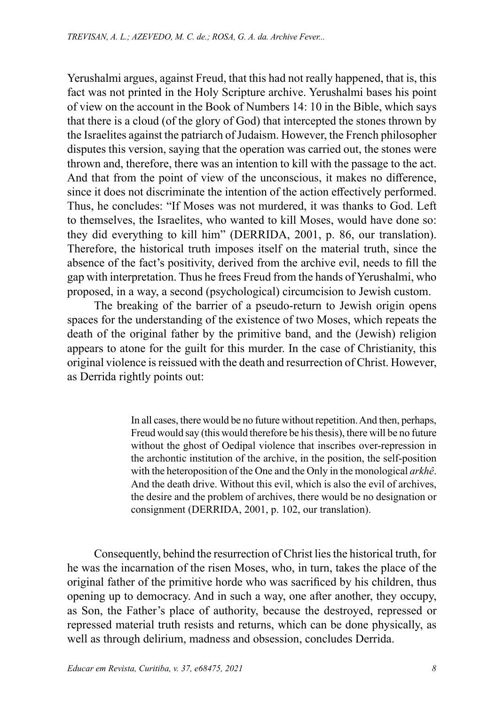Yerushalmi argues, against Freud, that this had not really happened, that is, this fact was not printed in the Holy Scripture archive. Yerushalmi bases his point of view on the account in the Book of Numbers 14: 10 in the Bible, which says that there is a cloud (of the glory of God) that intercepted the stones thrown by the Israelites against the patriarch of Judaism. However, the French philosopher disputes this version, saying that the operation was carried out, the stones were thrown and, therefore, there was an intention to kill with the passage to the act. And that from the point of view of the unconscious, it makes no difference, since it does not discriminate the intention of the action effectively performed. Thus, he concludes: "If Moses was not murdered, it was thanks to God. Left to themselves, the Israelites, who wanted to kill Moses, would have done so: they did everything to kill him" (DERRIDA, 2001, p. 86, our translation). Therefore, the historical truth imposes itself on the material truth, since the absence of the fact's positivity, derived from the archive evil, needs to fill the gap with interpretation. Thus he frees Freud from the hands of Yerushalmi, who proposed, in a way, a second (psychological) circumcision to Jewish custom.

The breaking of the barrier of a pseudo-return to Jewish origin opens spaces for the understanding of the existence of two Moses, which repeats the death of the original father by the primitive band, and the (Jewish) religion appears to atone for the guilt for this murder. In the case of Christianity, this original violence is reissued with the death and resurrection of Christ. However, as Derrida rightly points out:

> In all cases, there would be no future without repetition. And then, perhaps, Freud would say (this would therefore be his thesis), there will be no future without the ghost of Oedipal violence that inscribes over-repression in the archontic institution of the archive, in the position, the self-position with the heteroposition of the One and the Only in the monological *arkhê*. And the death drive. Without this evil, which is also the evil of archives, the desire and the problem of archives, there would be no designation or consignment (DERRIDA, 2001, p. 102, our translation).

Consequently, behind the resurrection of Christ lies the historical truth, for he was the incarnation of the risen Moses, who, in turn, takes the place of the original father of the primitive horde who was sacrificed by his children, thus opening up to democracy. And in such a way, one after another, they occupy, as Son, the Father's place of authority, because the destroyed, repressed or repressed material truth resists and returns, which can be done physically, as well as through delirium, madness and obsession, concludes Derrida.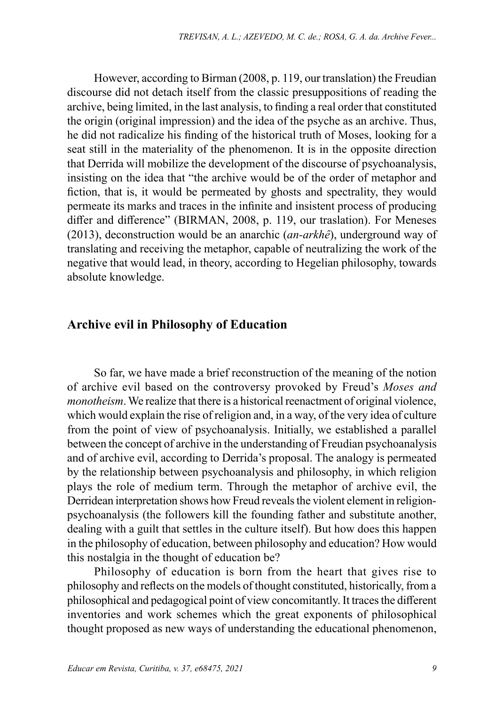However, according to Birman (2008, p. 119, our translation) the Freudian discourse did not detach itself from the classic presuppositions of reading the archive, being limited, in the last analysis, to finding a real order that constituted the origin (original impression) and the idea of the psyche as an archive. Thus, he did not radicalize his finding of the historical truth of Moses, looking for a seat still in the materiality of the phenomenon. It is in the opposite direction that Derrida will mobilize the development of the discourse of psychoanalysis, insisting on the idea that "the archive would be of the order of metaphor and fiction, that is, it would be permeated by ghosts and spectrality, they would permeate its marks and traces in the infinite and insistent process of producing differ and difference" (BIRMAN, 2008, p. 119, our traslation). For Meneses (2013), deconstruction would be an anarchic (*an-arkhê*), underground way of translating and receiving the metaphor, capable of neutralizing the work of the negative that would lead, in theory, according to Hegelian philosophy, towards absolute knowledge.

#### **Archive evil in Philosophy of Education**

So far, we have made a brief reconstruction of the meaning of the notion of archive evil based on the controversy provoked by Freud's *Moses and monotheism*. We realize that there is a historical reenactment of original violence, which would explain the rise of religion and, in a way, of the very idea of culture from the point of view of psychoanalysis. Initially, we established a parallel between the concept of archive in the understanding of Freudian psychoanalysis and of archive evil, according to Derrida's proposal. The analogy is permeated by the relationship between psychoanalysis and philosophy, in which religion plays the role of medium term. Through the metaphor of archive evil, the Derridean interpretation shows how Freud reveals the violent element in religionpsychoanalysis (the followers kill the founding father and substitute another, dealing with a guilt that settles in the culture itself). But how does this happen in the philosophy of education, between philosophy and education? How would this nostalgia in the thought of education be?

Philosophy of education is born from the heart that gives rise to philosophy and reflects on the models of thought constituted, historically, from a philosophical and pedagogical point of view concomitantly. It traces the different inventories and work schemes which the great exponents of philosophical thought proposed as new ways of understanding the educational phenomenon,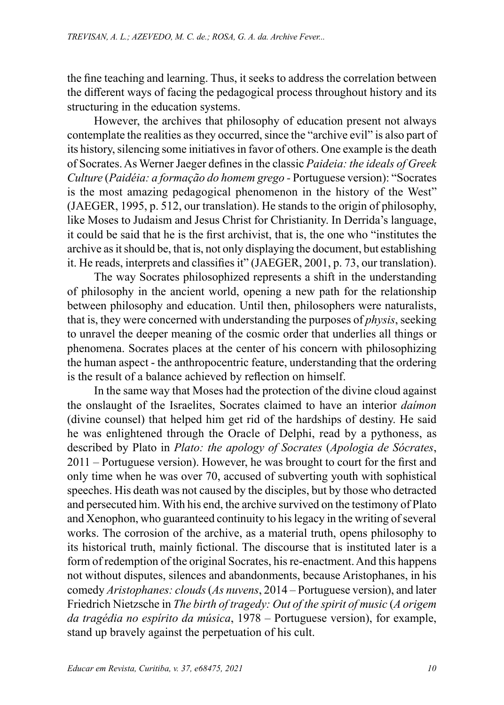the fine teaching and learning. Thus, it seeks to address the correlation between the different ways of facing the pedagogical process throughout history and its structuring in the education systems.

However, the archives that philosophy of education present not always contemplate the realities as they occurred, since the "archive evil" is also part of its history, silencing some initiatives in favor of others. One example is the death of Socrates. As Werner Jaeger defines in the classic *Paideia: the ideals of Greek Culture* (*Paidéia: a formação do homem grego -* Portuguese version): "Socrates is the most amazing pedagogical phenomenon in the history of the West" (JAEGER, 1995, p. 512, our translation). He stands to the origin of philosophy, like Moses to Judaism and Jesus Christ for Christianity. In Derrida's language, it could be said that he is the first archivist, that is, the one who "institutes the archive as it should be, that is, not only displaying the document, but establishing it. He reads, interprets and classifies it" (JAEGER, 2001, p. 73, our translation).

The way Socrates philosophized represents a shift in the understanding of philosophy in the ancient world, opening a new path for the relationship between philosophy and education. Until then, philosophers were naturalists, that is, they were concerned with understanding the purposes of *physis*, seeking to unravel the deeper meaning of the cosmic order that underlies all things or phenomena. Socrates places at the center of his concern with philosophizing the human aspect - the anthropocentric feature, understanding that the ordering is the result of a balance achieved by reflection on himself.

In the same way that Moses had the protection of the divine cloud against the onslaught of the Israelites, Socrates claimed to have an interior *daímon* (divine counsel) that helped him get rid of the hardships of destiny. He said he was enlightened through the Oracle of Delphi, read by a pythoness, as described by Plato in *Plato: the apology of Socrates* (*Apologia de Sócrates*, 2011 – Portuguese version). However, he was brought to court for the first and only time when he was over 70, accused of subverting youth with sophistical speeches. His death was not caused by the disciples, but by those who detracted and persecuted him. With his end, the archive survived on the testimony of Plato and Xenophon, who guaranteed continuity to his legacy in the writing of several works. The corrosion of the archive, as a material truth, opens philosophy to its historical truth, mainly fictional. The discourse that is instituted later is a form of redemption of the original Socrates, his re-enactment. And this happens not without disputes, silences and abandonments, because Aristophanes, in his comedy *Aristophanes: clouds* (*As nuvens*, 2014 – Portuguese version), and later Friedrich Nietzsche in *The birth of tragedy: Out of the spirit of music* (*A origem da tragédia no espírito da música*, 1978 – Portuguese version), for example, stand up bravely against the perpetuation of his cult.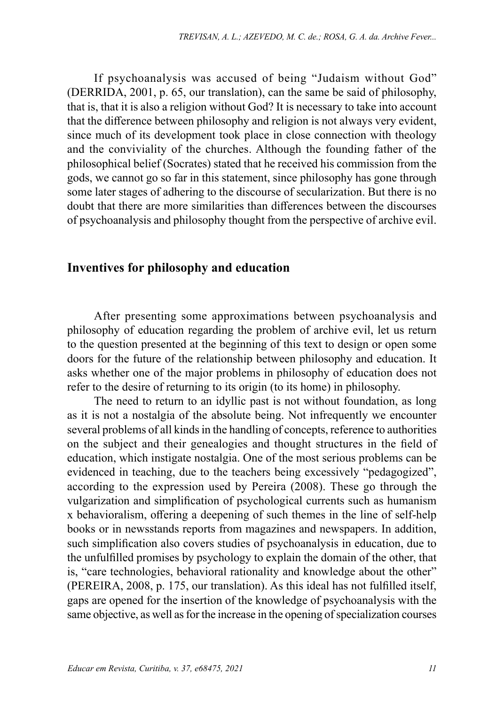If psychoanalysis was accused of being "Judaism without God" (DERRIDA, 2001, p. 65, our translation), can the same be said of philosophy, that is, that it is also a religion without God? It is necessary to take into account that the difference between philosophy and religion is not always very evident, since much of its development took place in close connection with theology and the conviviality of the churches. Although the founding father of the philosophical belief (Socrates) stated that he received his commission from the gods, we cannot go so far in this statement, since philosophy has gone through some later stages of adhering to the discourse of secularization. But there is no doubt that there are more similarities than differences between the discourses of psychoanalysis and philosophy thought from the perspective of archive evil.

#### **Inventives for philosophy and education**

After presenting some approximations between psychoanalysis and philosophy of education regarding the problem of archive evil, let us return to the question presented at the beginning of this text to design or open some doors for the future of the relationship between philosophy and education. It asks whether one of the major problems in philosophy of education does not refer to the desire of returning to its origin (to its home) in philosophy.

The need to return to an idyllic past is not without foundation, as long as it is not a nostalgia of the absolute being. Not infrequently we encounter several problems of all kinds in the handling of concepts, reference to authorities on the subject and their genealogies and thought structures in the field of education, which instigate nostalgia. One of the most serious problems can be evidenced in teaching, due to the teachers being excessively "pedagogized", according to the expression used by Pereira (2008). These go through the vulgarization and simplification of psychological currents such as humanism x behavioralism, offering a deepening of such themes in the line of self-help books or in newsstands reports from magazines and newspapers. In addition, such simplification also covers studies of psychoanalysis in education, due to the unfulfilled promises by psychology to explain the domain of the other, that is, "care technologies, behavioral rationality and knowledge about the other" (PEREIRA, 2008, p. 175, our translation). As this ideal has not fulfilled itself, gaps are opened for the insertion of the knowledge of psychoanalysis with the same objective, as well as for the increase in the opening of specialization courses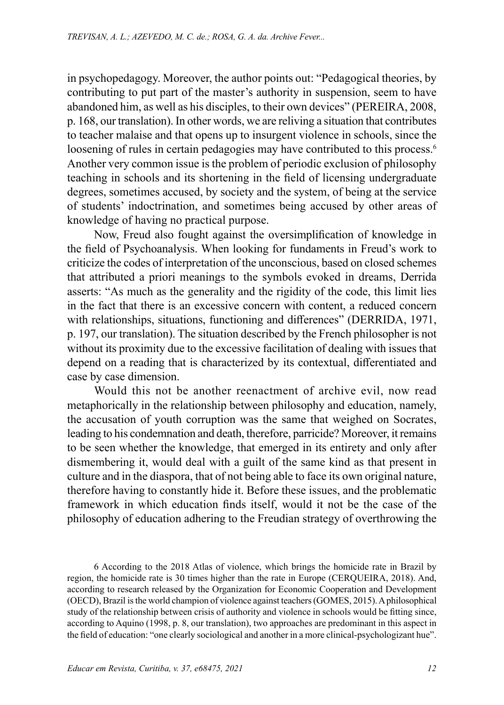in psychopedagogy. Moreover, the author points out: "Pedagogical theories, by contributing to put part of the master's authority in suspension, seem to have abandoned him, as well as his disciples, to their own devices" (PEREIRA, 2008, p. 168, our translation). In other words, we are reliving a situation that contributes to teacher malaise and that opens up to insurgent violence in schools, since the loosening of rules in certain pedagogies may have contributed to this process.<sup>6</sup> Another very common issue is the problem of periodic exclusion of philosophy teaching in schools and its shortening in the field of licensing undergraduate degrees, sometimes accused, by society and the system, of being at the service of students' indoctrination, and sometimes being accused by other areas of knowledge of having no practical purpose.

Now, Freud also fought against the oversimplification of knowledge in the field of Psychoanalysis. When looking for fundaments in Freud's work to criticize the codes of interpretation of the unconscious, based on closed schemes that attributed a priori meanings to the symbols evoked in dreams, Derrida asserts: "As much as the generality and the rigidity of the code, this limit lies in the fact that there is an excessive concern with content, a reduced concern with relationships, situations, functioning and differences" (DERRIDA, 1971, p. 197, our translation). The situation described by the French philosopher is not without its proximity due to the excessive facilitation of dealing with issues that depend on a reading that is characterized by its contextual, differentiated and case by case dimension.

Would this not be another reenactment of archive evil, now read metaphorically in the relationship between philosophy and education, namely, the accusation of youth corruption was the same that weighed on Socrates, leading to his condemnation and death, therefore, parricide? Moreover, it remains to be seen whether the knowledge, that emerged in its entirety and only after dismembering it, would deal with a guilt of the same kind as that present in culture and in the diaspora, that of not being able to face its own original nature, therefore having to constantly hide it. Before these issues, and the problematic framework in which education finds itself, would it not be the case of the philosophy of education adhering to the Freudian strategy of overthrowing the

6 According to the 2018 Atlas of violence, which brings the homicide rate in Brazil by region, the homicide rate is 30 times higher than the rate in Europe (CERQUEIRA, 2018). And, according to research released by the Organization for Economic Cooperation and Development (OECD), Brazil is the world champion of violence against teachers (GOMES, 2015). A philosophical study of the relationship between crisis of authority and violence in schools would be fitting since, according to Aquino (1998, p. 8, our translation), two approaches are predominant in this aspect in the field of education: "one clearly sociological and another in a more clinical-psychologizant hue".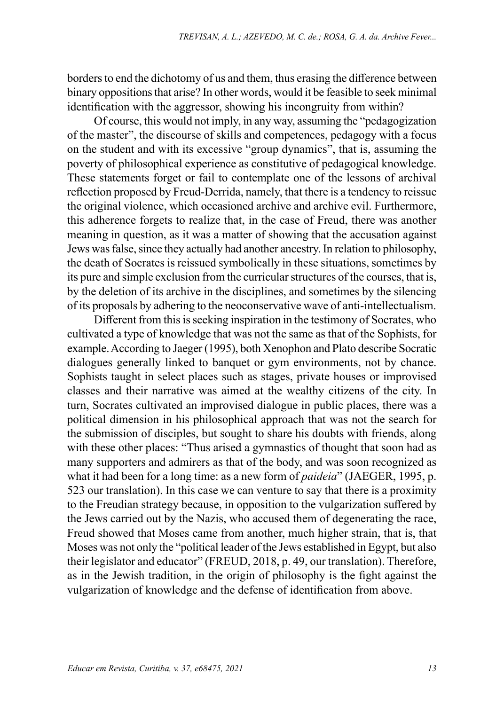borders to end the dichotomy of us and them, thus erasing the difference between binary oppositions that arise? In other words, would it be feasible to seek minimal identification with the aggressor, showing his incongruity from within?

Of course, this would not imply, in any way, assuming the "pedagogization of the master", the discourse of skills and competences, pedagogy with a focus on the student and with its excessive "group dynamics", that is, assuming the poverty of philosophical experience as constitutive of pedagogical knowledge. These statements forget or fail to contemplate one of the lessons of archival reflection proposed by Freud-Derrida, namely, that there is a tendency to reissue the original violence, which occasioned archive and archive evil. Furthermore, this adherence forgets to realize that, in the case of Freud, there was another meaning in question, as it was a matter of showing that the accusation against Jews was false, since they actually had another ancestry. In relation to philosophy, the death of Socrates is reissued symbolically in these situations, sometimes by its pure and simple exclusion from the curricular structures of the courses, that is, by the deletion of its archive in the disciplines, and sometimes by the silencing of its proposals by adhering to the neoconservative wave of anti-intellectualism.

Different from this is seeking inspiration in the testimony of Socrates, who cultivated a type of knowledge that was not the same as that of the Sophists, for example. According to Jaeger (1995), both Xenophon and Plato describe Socratic dialogues generally linked to banquet or gym environments, not by chance. Sophists taught in select places such as stages, private houses or improvised classes and their narrative was aimed at the wealthy citizens of the city. In turn, Socrates cultivated an improvised dialogue in public places, there was a political dimension in his philosophical approach that was not the search for the submission of disciples, but sought to share his doubts with friends, along with these other places: "Thus arised a gymnastics of thought that soon had as many supporters and admirers as that of the body, and was soon recognized as what it had been for a long time: as a new form of *paideia*" (JAEGER, 1995, p. 523 our translation). In this case we can venture to say that there is a proximity to the Freudian strategy because, in opposition to the vulgarization suffered by the Jews carried out by the Nazis, who accused them of degenerating the race, Freud showed that Moses came from another, much higher strain, that is, that Moses was not only the "political leader of the Jews established in Egypt, but also their legislator and educator" (FREUD, 2018, p. 49, our translation). Therefore, as in the Jewish tradition, in the origin of philosophy is the fight against the vulgarization of knowledge and the defense of identification from above.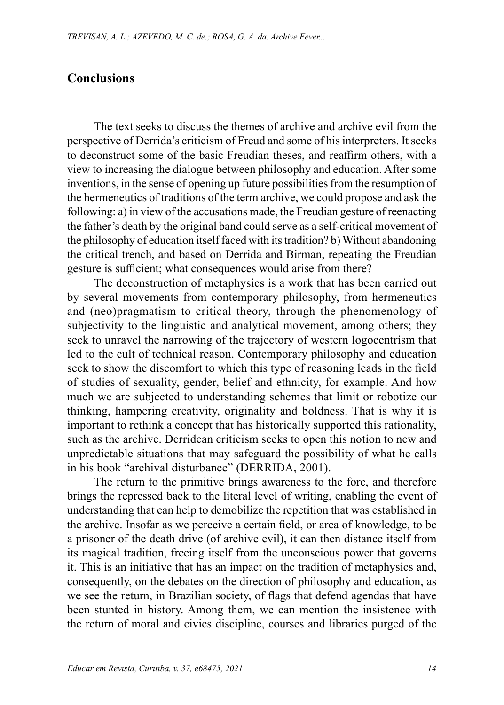## **Conclusions**

The text seeks to discuss the themes of archive and archive evil from the perspective of Derrida's criticism of Freud and some of his interpreters. It seeks to deconstruct some of the basic Freudian theses, and reaffirm others, with a view to increasing the dialogue between philosophy and education. After some inventions, in the sense of opening up future possibilities from the resumption of the hermeneutics of traditions of the term archive, we could propose and ask the following: a) in view of the accusations made, the Freudian gesture of reenacting the father's death by the original band could serve as a self-critical movement of the philosophy of education itself faced with its tradition? b) Without abandoning the critical trench, and based on Derrida and Birman, repeating the Freudian gesture is sufficient; what consequences would arise from there?

The deconstruction of metaphysics is a work that has been carried out by several movements from contemporary philosophy, from hermeneutics and (neo)pragmatism to critical theory, through the phenomenology of subjectivity to the linguistic and analytical movement, among others; they seek to unravel the narrowing of the trajectory of western logocentrism that led to the cult of technical reason. Contemporary philosophy and education seek to show the discomfort to which this type of reasoning leads in the field of studies of sexuality, gender, belief and ethnicity, for example. And how much we are subjected to understanding schemes that limit or robotize our thinking, hampering creativity, originality and boldness. That is why it is important to rethink a concept that has historically supported this rationality, such as the archive. Derridean criticism seeks to open this notion to new and unpredictable situations that may safeguard the possibility of what he calls in his book "archival disturbance" (DERRIDA, 2001).

The return to the primitive brings awareness to the fore, and therefore brings the repressed back to the literal level of writing, enabling the event of understanding that can help to demobilize the repetition that was established in the archive. Insofar as we perceive a certain field, or area of knowledge, to be a prisoner of the death drive (of archive evil), it can then distance itself from its magical tradition, freeing itself from the unconscious power that governs it. This is an initiative that has an impact on the tradition of metaphysics and, consequently, on the debates on the direction of philosophy and education, as we see the return, in Brazilian society, of flags that defend agendas that have been stunted in history. Among them, we can mention the insistence with the return of moral and civics discipline, courses and libraries purged of the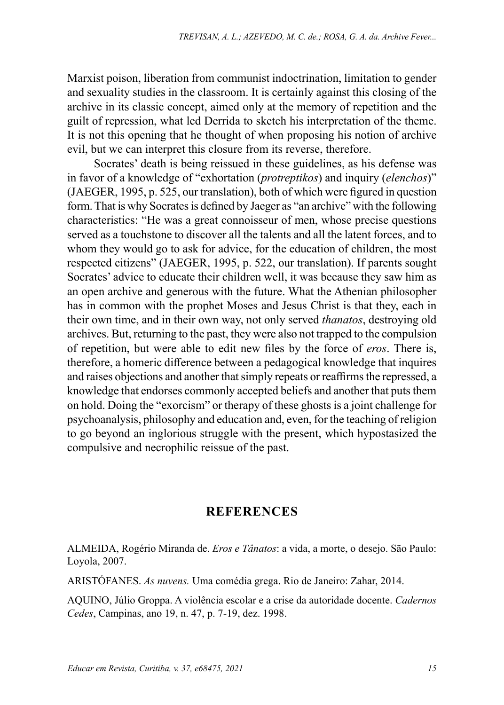Marxist poison, liberation from communist indoctrination, limitation to gender and sexuality studies in the classroom. It is certainly against this closing of the archive in its classic concept, aimed only at the memory of repetition and the guilt of repression, what led Derrida to sketch his interpretation of the theme. It is not this opening that he thought of when proposing his notion of archive evil, but we can interpret this closure from its reverse, therefore.

Socrates' death is being reissued in these guidelines, as his defense was in favor of a knowledge of "exhortation (*protreptikos*) and inquiry (*elenchos*)" (JAEGER, 1995, p. 525, our translation), both of which were figured in question form. That is why Socrates is defined by Jaeger as "an archive" with the following characteristics: "He was a great connoisseur of men, whose precise questions served as a touchstone to discover all the talents and all the latent forces, and to whom they would go to ask for advice, for the education of children, the most respected citizens" (JAEGER, 1995, p. 522, our translation). If parents sought Socrates' advice to educate their children well, it was because they saw him as an open archive and generous with the future. What the Athenian philosopher has in common with the prophet Moses and Jesus Christ is that they, each in their own time, and in their own way, not only served *thanatos*, destroying old archives. But, returning to the past, they were also not trapped to the compulsion of repetition, but were able to edit new files by the force of *eros*. There is, therefore, a homeric difference between a pedagogical knowledge that inquires and raises objections and another that simply repeats or reaffirms the repressed, a knowledge that endorses commonly accepted beliefs and another that puts them on hold. Doing the "exorcism" or therapy of these ghosts is a joint challenge for psychoanalysis, philosophy and education and, even, for the teaching of religion to go beyond an inglorious struggle with the present, which hypostasized the compulsive and necrophilic reissue of the past.

## **REFERENCES**

ALMEIDA, Rogério Miranda de. *Eros e Tânatos*: a vida, a morte, o desejo. São Paulo: Loyola, 2007.

ARISTÓFANES. *As nuvens.* Uma comédia grega. Rio de Janeiro: Zahar, 2014.

AQUINO, Júlio Groppa. A violência escolar e a crise da autoridade docente. *Cadernos Cedes*, Campinas, ano 19, n. 47, p. 7-19, dez. 1998.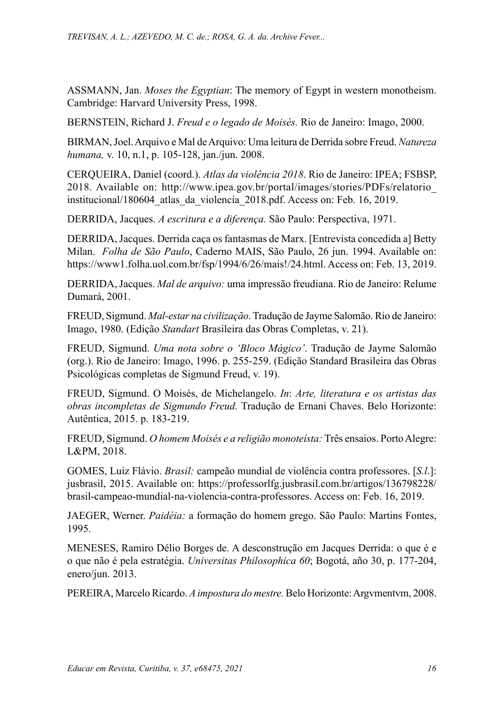ASSMANN, Jan. *Moses the Egyptian*: The memory of Egypt in western monotheism. Cambridge: Harvard University Press, 1998.

BERNSTEIN, Richard J. *Freud e o legado de Moisés.* Rio de Janeiro: Imago, 2000.

BIRMAN, Joel. Arquivo e Mal de Arquivo: Uma leitura de Derrida sobre Freud. *Natureza humana,* v. 10, n.1, p. 105-128, jan./jun. 2008.

CERQUEIRA, Daniel (coord.). *Atlas da violência 2018*. Rio de Janeiro: IPEA; FSBSP, 2018. Available on: [http://www.ipea.gov.br/portal/images/stories/PDFs/relatorio\\_](http://www.ipea.gov.br/portal/images/stories/PDFs/relatorio_institucional/180604_atlas_da_violencia_2018.pdf) [institucional/180604\\_atlas\\_da\\_violencia\\_2018.pdf.](http://www.ipea.gov.br/portal/images/stories/PDFs/relatorio_institucional/180604_atlas_da_violencia_2018.pdf) Access on: Feb. 16, 2019.

DERRIDA, Jacques. *A escritura e a diferença.* São Paulo: Perspectiva, 1971.

DERRIDA, Jacques. Derrida caça os fantasmas de Marx. [Entrevista concedida a] Betty Milan. *Folha de São Paulo*, Caderno MAIS, São Paulo, 26 jun. 1994. Available on: [https://www1.folha.uol.com.br/fsp/1994/6/26/mais!/24.html.](https://www1.folha.uol.com.br/fsp/1994/6/26/mais!/24.html) Access on: Feb. 13, 2019.

DERRIDA, Jacques. *Mal de arquivo:* uma impressão freudiana. Rio de Janeiro: Relume Dumará, 2001.

FREUD, Sigmund. *Mal-estar na civilização*. Tradução de Jayme Salomão. Rio de Janeiro: Imago, 1980. (Edição *Standart* Brasileira das Obras Completas, v. 21).

FREUD, Sigmund. *Uma nota sobre o 'Bloco Mágico'*. Tradução de Jayme Salomão (org.). Rio de Janeiro: Imago, 1996. p. 255-259. (Edição Standard Brasileira das Obras Psicológicas completas de Sigmund Freud, v. 19).

FREUD, Sigmund. O Moisés, de Michelangelo. *In*: *Arte, literatura e os artistas das obras incompletas de Sigmundo Freud.* Tradução de Ernani Chaves. Belo Horizonte: Autêntica, 2015. p. 183-219.

FREUD, Sigmund. *O homem Moisés e a religião monoteísta:* Três ensaios. Porto Alegre: L&PM, 2018.

GOMES, Luiz Flávio. *Brasil:* campeão mundial de violência contra professores. [*S.l*.]: jusbrasil, 2015. Available on: [https://professorlfg.jusbrasil.com.br/artigos/136798228/](https://professorlfg.jusbrasil.com.br/artigos/136798228/brasil-campeao-mundial-na-violencia-contra-professores) [brasil-campeao-mundial-na-violencia-contra-professores](https://professorlfg.jusbrasil.com.br/artigos/136798228/brasil-campeao-mundial-na-violencia-contra-professores). Access on: Feb. 16, 2019.

JAEGER, Werner. *Paidéia:* a formação do homem grego. São Paulo: Martins Fontes, 1995.

MENESES, Ramiro Délio Borges de. A desconstrução em Jacques Derrida: o que é e o que não é pela estratégia. *Universitas Philosophica 60*; Bogotá, año 30, p. 177-204, enero/jun. 2013.

PEREIRA, Marcelo Ricardo. *A impostura do mestre.* Belo Horizonte: Argvmentvm, 2008.